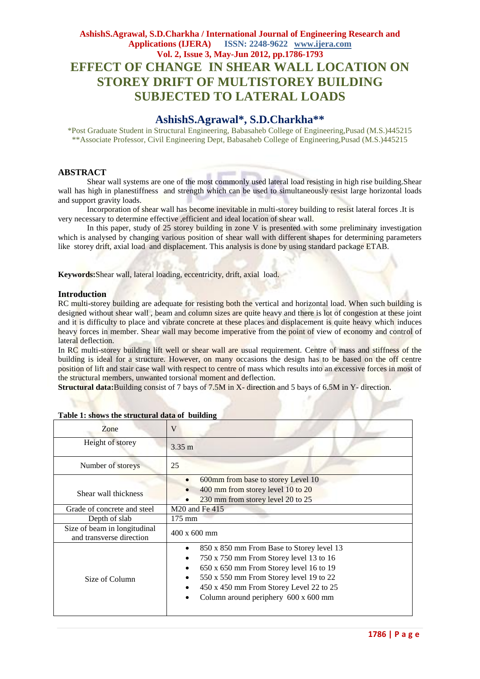# **AshishS.Agrawal, S.D.Charkha / International Journal of Engineering Research and Applications (IJERA) ISSN: 2248-9622 www.ijera.com Vol. 2, Issue 3, May-Jun 2012, pp.1786-1793 EFFECT OF CHANGE IN SHEAR WALL LOCATION ON STOREY DRIFT OF MULTISTOREY BUILDING SUBJECTED TO LATERAL LOADS**

# **AshishS.Agrawal\*, S.D.Charkha\*\***

\*Post Graduate Student in Structural Engineering, Babasaheb College of Engineering,Pusad (M.S.)445215 \*\*Associate Professor, Civil Engineering Dept, Babasaheb College of Engineering,Pusad (M.S.)445215

# **ABSTRACT**

Shear wall systems are one of the most commonly used lateral load resisting in high rise building.Shear wall has high in planestiffness and strength which can be used to simultaneously resist large horizontal loads and support gravity loads.

Incorporation of shear wall has become inevitable in multi-storey building to resist lateral forces .It is very necessary to determine effective ,efficient and ideal location of shear wall.

In this paper, study of 25 storey building in zone V is presented with some preliminary investigation which is analysed by changing various position of shear wall with different shapes for determining parameters like storey drift, axial load and displacement. This analysis is done by using standard package ETAB.

**Keywords:**Shear wall, lateral loading, eccentricity, drift, axial load.

## **Introduction**

RC multi-storey building are adequate for resisting both the vertical and horizontal load. When such building is designed without shear wall, beam and column sizes are quite heavy and there is lot of congestion at these joint and it is difficulty to place and vibrate concrete at these places and displacement is quite heavy which induces heavy forces in member. Shear wall may become imperative from the point of view of economy and control of lateral deflection.

In RC multi-storey building lift well or shear wall are usual requirement. Centre of mass and stiffness of the building is ideal for a structure. However, on many occasions the design has to be based on the off centre position of lift and stair case wall with respect to centre of mass which results into an excessive forces in most of the structural members, unwanted torsional moment and deflection.

**Structural data:**Building consist of 7 bays of 7.5M in X- direction and 5 bays of 6.5M in Y- direction.

| Zone                                                     | V                                                                                                                                                                                                                                                             |  |  |  |
|----------------------------------------------------------|---------------------------------------------------------------------------------------------------------------------------------------------------------------------------------------------------------------------------------------------------------------|--|--|--|
| Height of storey                                         | $3.35 \text{ m}$                                                                                                                                                                                                                                              |  |  |  |
| Number of storeys                                        | 25                                                                                                                                                                                                                                                            |  |  |  |
| Shear wall thickness                                     | 600mm from base to storey Level 10<br>400 mm from storey level 10 to 20<br>230 mm from storey level 20 to 25                                                                                                                                                  |  |  |  |
| Grade of concrete and steel                              | M20 and Fe 415                                                                                                                                                                                                                                                |  |  |  |
| Depth of slab                                            | $175 \text{ mm}$                                                                                                                                                                                                                                              |  |  |  |
| Size of beam in longitudinal<br>and transverse direction | $400 \times 600$ mm                                                                                                                                                                                                                                           |  |  |  |
| Size of Column                                           | 850 x 850 mm From Base to Storey level 13<br>750 x 750 mm From Storey level 13 to 16<br>650 x 650 mm From Storey level 16 to 19<br>550 x 550 mm From Storey level 19 to 22<br>450 x 450 mm From Storey Level 22 to 25<br>Column around periphery 600 x 600 mm |  |  |  |

## **Table 1: shows the structural data of building**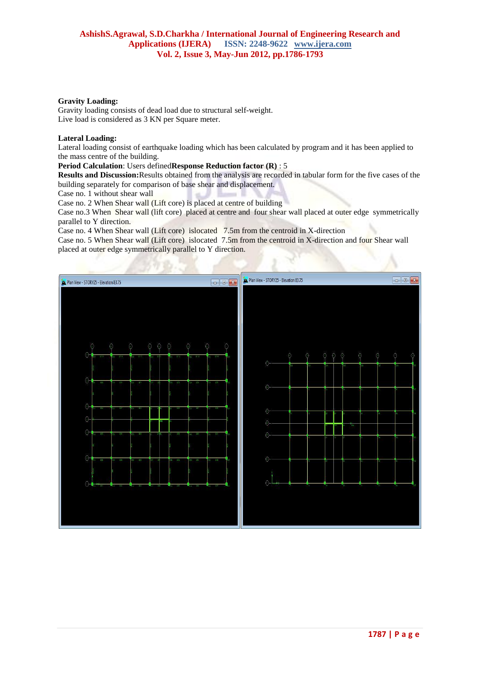## **Gravity Loading:**

Gravity loading consists of dead load due to structural self-weight. Live load is considered as 3 KN per Square meter.

## **Lateral Loading:**

Lateral loading consist of earthquake loading which has been calculated by program and it has been applied to the mass centre of the building.

# **Period Calculation**: Users defined**Response Reduction factor (R)** : 5

**Results and Discussion:**Results obtained from the analysis are recorded in tabular form for the five cases of the building separately for comparison of base shear and displacement.

Case no. 1 without shear wall

Case no. 2 When Shear wall (Lift core) is placed at centre of building

Case no.3 When Shear wall (lift core) placed at centre and four shear wall placed at outer edge symmetrically parallel to Y direction.

Case no. 4 When Shear wall (Lift core) islocated 7.5m from the centroid in X-direction

Case no. 5 When Shear wall (Lift core) islocated 7.5m from the centroid in X-direction and four Shear wall placed at outer edge symmetrically parallel to Y direction.

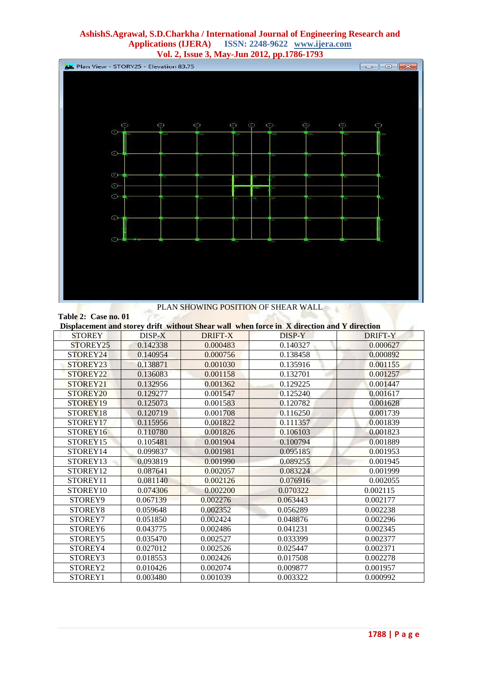# **AshishS.Agrawal, S.D.Charkha / International Journal of Engineering Research and Applications (IJERA) ISSN: 2248-9622 www.ijera.com Vol. 2, Issue 3, May-Jun 2012, pp.1786-1793**



# PLAN SHOWING POSITION OF SHEAR WALL

**SALES** 

# **Table 2: Case no. 01**

| Displacement and storey drift without Shear wall when force in X direction and Y direction |          |          |          |          |  |  |  |
|--------------------------------------------------------------------------------------------|----------|----------|----------|----------|--|--|--|
| <b>STOREY</b>                                                                              | DISP-X   | DRIFT-X  | DISP-Y   | DRIFT-Y  |  |  |  |
| STOREY <sub>25</sub>                                                                       | 0.142338 | 0.000483 | 0.140327 | 0.000627 |  |  |  |
| STOREY24                                                                                   | 0.140954 | 0.000756 | 0.138458 | 0.000892 |  |  |  |
| STOREY23                                                                                   | 0.138871 | 0.001030 | 0.135916 | 0.001155 |  |  |  |
| STOREY22                                                                                   | 0.136083 | 0.001158 | 0.132701 | 0.001257 |  |  |  |
| STOREY <sub>21</sub>                                                                       | 0.132956 | 0.001362 | 0.129225 | 0.001447 |  |  |  |
| STOREY20                                                                                   | 0.129277 | 0.001547 | 0.125240 | 0.001617 |  |  |  |
| STOREY19                                                                                   | 0.125073 | 0.001583 | 0.120782 | 0.001628 |  |  |  |
| STOREY18                                                                                   | 0.120719 | 0.001708 | 0.116250 | 0.001739 |  |  |  |
| STOREY17                                                                                   | 0.115956 | 0.001822 | 0.111357 | 0.001839 |  |  |  |
| STOREY16                                                                                   | 0.110780 | 0.001826 | 0.106103 | 0.001823 |  |  |  |
| STOREY15                                                                                   | 0.105481 | 0.001904 | 0.100794 | 0.001889 |  |  |  |
| STOREY14                                                                                   | 0.099837 | 0.001981 | 0.095185 | 0.001953 |  |  |  |
| STOREY13                                                                                   | 0.093819 | 0.001990 | 0.089255 | 0.001945 |  |  |  |
| STOREY12                                                                                   | 0.087641 | 0.002057 | 0.083224 | 0.001999 |  |  |  |
| STOREY11                                                                                   | 0.081140 | 0.002126 | 0.076916 | 0.002055 |  |  |  |
| STOREY10                                                                                   | 0.074306 | 0.002200 | 0.070322 | 0.002115 |  |  |  |
| STOREY9                                                                                    | 0.067139 | 0.002276 | 0.063443 | 0.002177 |  |  |  |
| STOREY8                                                                                    | 0.059648 | 0.002352 | 0.056289 | 0.002238 |  |  |  |
| STOREY7                                                                                    | 0.051850 | 0.002424 | 0.048876 | 0.002296 |  |  |  |
| STOREY6                                                                                    | 0.043775 | 0.002486 | 0.041231 | 0.002345 |  |  |  |
| STOREY5                                                                                    | 0.035470 | 0.002527 | 0.033399 | 0.002377 |  |  |  |
| STOREY4                                                                                    | 0.027012 | 0.002526 | 0.025447 | 0.002371 |  |  |  |
| STOREY3                                                                                    | 0.018553 | 0.002426 | 0.017508 | 0.002278 |  |  |  |
| STOREY <sub>2</sub>                                                                        | 0.010426 | 0.002074 | 0.009877 | 0.001957 |  |  |  |
| STOREY1                                                                                    | 0.003480 | 0.001039 | 0.003322 | 0.000992 |  |  |  |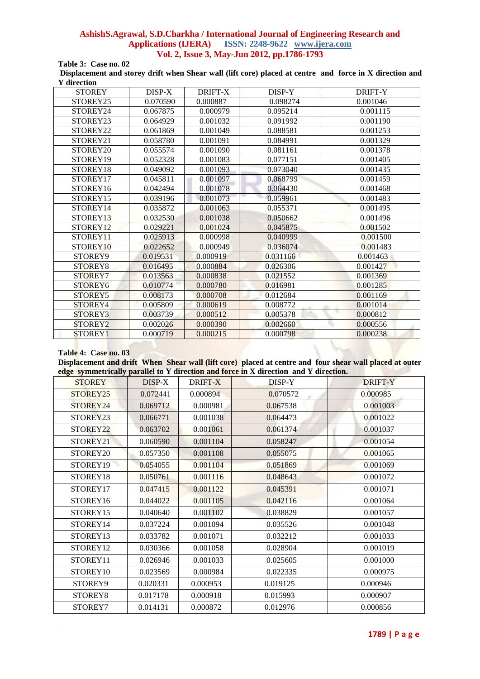# **AshishS.Agrawal, S.D.Charkha / International Journal of Engineering Research and Applications (IJERA) ISSN: 2248-9622 www.ijera.com Vol. 2, Issue 3, May-Jun 2012, pp.1786-1793 Table 3: Case no. 02**

**Displacement and storey drift when Shear wall (lift core) placed at centre and force in X direction and Y direction**

| <b>STOREY</b>       | DISP-X   | DRIFT-X  | DISP-Y   | <b>DRIFT-Y</b> |
|---------------------|----------|----------|----------|----------------|
| STOREY25            | 0.070590 | 0.000887 | 0.098274 | 0.001046       |
| STOREY24            | 0.067875 | 0.000979 | 0.095214 | 0.001115       |
| STOREY23            | 0.064929 | 0.001032 | 0.091992 | 0.001190       |
| STOREY22            | 0.061869 | 0.001049 | 0.088581 | 0.001253       |
| STOREY21            | 0.058780 | 0.001091 | 0.084991 | 0.001329       |
| STOREY20            | 0.055574 | 0.001090 | 0.081161 | 0.001378       |
| STOREY19            | 0.052328 | 0.001083 | 0.077151 | 0.001405       |
| STOREY18            | 0.049092 | 0.001093 | 0.073040 | 0.001435       |
| STOREY17            | 0.045811 | 0.001097 | 0.068799 | 0.001459       |
| STOREY16            | 0.042494 | 0.001078 | 0.064430 | 0.001468       |
| STOREY15            | 0.039196 | 0.001073 | 0.059961 | 0.001483       |
| STOREY14            | 0.035872 | 0.001063 | 0.055371 | 0.001495       |
| STOREY13            | 0.032530 | 0.001038 | 0.050662 | 0.001496       |
| STOREY12            | 0.029221 | 0.001024 | 0.045875 | 0.001502       |
| STOREY11            | 0.025913 | 0.000998 | 0.040999 | 0.001500       |
| STOREY10            | 0.022652 | 0.000949 | 0.036074 | 0.001483       |
| STOREY9             | 0.019531 | 0.000919 | 0.031166 | 0.001463       |
| STOREY8             | 0.016495 | 0.000884 | 0.026306 | 0.001427       |
| STOREY7             | 0.013563 | 0.000838 | 0.021552 | 0.001369       |
| STOREY <sub>6</sub> | 0.010774 | 0.000780 | 0.016981 | 0.001285       |
| STOREY5             | 0.008173 | 0.000708 | 0.012684 | 0.001169       |
| STOREY4             | 0.005809 | 0.000619 | 0.008772 | 0.001014       |
| STOREY3             | 0.003739 | 0.000512 | 0.005378 | 0.000812       |
| STOREY <sub>2</sub> | 0.002026 | 0.000390 | 0.002660 | 0.000556       |
| STOREY1             | 0.000719 | 0.000215 | 0.000798 | 0.000238       |

#### **Table 4: Case no. 03**

**Displacement and drift When Shear wall (lift core) placed at centre and four shear wall placed at outer edge symmetrically parallel to Y direction and force in X direction and Y direction.**

| <b>STOREY</b> | DISP-X   | DRIFT-X  | DISP-Y   | <b>DRIFT-Y</b> |
|---------------|----------|----------|----------|----------------|
| STOREY25      | 0.072441 | 0.000894 | 0.070572 | 0.000985       |
| STOREY24      | 0.069712 | 0.000981 | 0.067538 | 0.001003       |
| STOREY23      | 0.066771 | 0.001038 | 0.064473 | 0.001022       |
| STOREY22      | 0.063702 | 0.001061 | 0.061374 | 0.001037       |
| STOREY21      | 0.060590 | 0.001104 | 0.058247 | 0.001054       |
| STOREY20      | 0.057350 | 0.001108 | 0.055075 | 0.001065       |
| STOREY19      | 0.054055 | 0.001104 | 0.051869 | 0.001069       |
| STOREY18      | 0.050761 | 0.001116 | 0.048643 | 0.001072       |
| STOREY17      | 0.047415 | 0.001122 | 0.045391 | 0.001071       |
| STOREY16      | 0.044022 | 0.001105 | 0.042116 | 0.001064       |
| STOREY15      | 0.040640 | 0.001102 | 0.038829 | 0.001057       |
| STOREY14      | 0.037224 | 0.001094 | 0.035526 | 0.001048       |
| STOREY13      | 0.033782 | 0.001071 | 0.032212 | 0.001033       |
| STOREY12      | 0.030366 | 0.001058 | 0.028904 | 0.001019       |
| STOREY11      | 0.026946 | 0.001033 | 0.025605 | 0.001000       |
| STOREY10      | 0.023569 | 0.000984 | 0.022335 | 0.000975       |
| STOREY9       | 0.020331 | 0.000953 | 0.019125 | 0.000946       |
| STOREY8       | 0.017178 | 0.000918 | 0.015993 | 0.000907       |
| STOREY7       | 0.014131 | 0.000872 | 0.012976 | 0.000856       |
|               |          |          |          |                |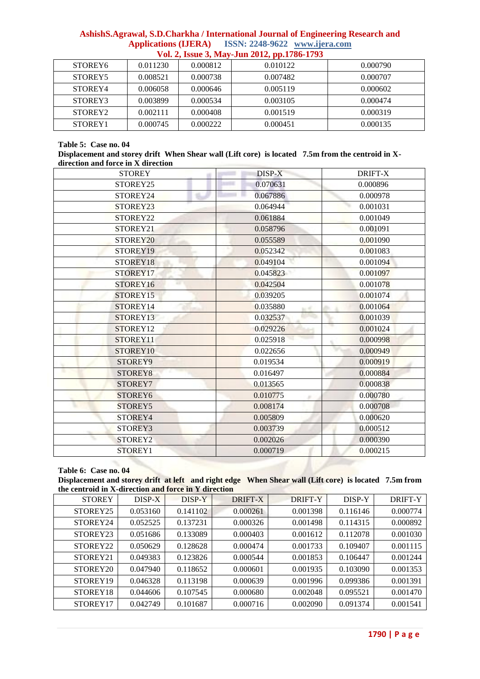# **AshishS.Agrawal, S.D.Charkha / International Journal of Engineering Research and Applications (IJERA) ISSN: 2248-9622 www.ijera.com Vol. 2, Issue 3, May-Jun 2012, pp.1786-1793**

| STOREY <sub>6</sub> | 0.011230 | 0.000812 | 0.010122 | 0.000790 |
|---------------------|----------|----------|----------|----------|
| STOREY5             | 0.008521 | 0.000738 | 0.007482 | 0.000707 |
| STOREY4             | 0.006058 | 0.000646 | 0.005119 | 0.000602 |
| STOREY3             | 0.003899 | 0.000534 | 0.003105 | 0.000474 |
| STOREY <sub>2</sub> | 0.002111 | 0.000408 | 0.001519 | 0.000319 |
| STOREY <sub>1</sub> | 0.000745 | 0.000222 | 0.000451 | 0.000135 |

## **Table 5: Case no. 04**

**Displacement and storey drift When Shear wall (Lift core) is located 7.5m from the centroid in Xdirection and force in X direction**

| <b>STOREY</b>        | $DISP-X$                    | DRIFT-X  |
|----------------------|-----------------------------|----------|
| STOREY25             | 0.070631                    | 0.000896 |
| STOREY24             | 0.067886                    | 0.000978 |
| STOREY23             | 0.064944                    | 0.001031 |
| STOREY22             | 0.061884                    | 0.001049 |
| STOREY21             | 0.058796                    | 0.001091 |
| STOREY <sub>20</sub> | 0.055589                    | 0.001090 |
| STOREY19             | 0.052342                    | 0.001083 |
| STOREY18             | 0.049104                    | 0.001094 |
| STOREY17             | 0.045823                    | 0.001097 |
| STOREY16             | 0.042504                    | 0.001078 |
| STOREY15             | 0.039205                    | 0.001074 |
| STOREY14             | 0.035880<br>$\mathbf{h}$ of | 0.001064 |
| STOREY13             | 0.032537                    | 0.001039 |
| STOREY12             | 0.029226                    | 0.001024 |
| STOREY11             | 0.025918                    | 0.000998 |
| STOREY10             | 0.022656                    | 0.000949 |
| STOREY9              | 0.019534                    | 0.000919 |
| STOREY8              | 0.016497                    | 0.000884 |
| STOREY7              | 0.013565                    | 0.000838 |
| STOREY6              | 0.010775                    | 0.000780 |
| STOREY5              | 0.008174                    | 0.000708 |
| STOREY4              | 0.005809                    | 0.000620 |
| STOREY3              | 0.003739                    | 0.000512 |
| STOREY2              | 0.002026                    | 0.000390 |
| STOREY1              | 0.000719                    | 0.000215 |

# **Table 6: Case no. 04**

**Displacement and storey drift at left and right edge When Shear wall (Lift core) is located 7.5m from the centroid in X-direction and force in Y direction**

| <b>STOREY</b> | DISP-X   | DISP-Y   | DRIFT-X  | <b>DRIFT-Y</b> | DISP-Y   | DRIFT-Y  |
|---------------|----------|----------|----------|----------------|----------|----------|
| STOREY25      | 0.053160 | 0.141102 | 0.000261 | 0.001398       | 0.116146 | 0.000774 |
| STOREY24      | 0.052525 | 0.137231 | 0.000326 | 0.001498       | 0.114315 | 0.000892 |
| STOREY23      | 0.051686 | 0.133089 | 0.000403 | 0.001612       | 0.112078 | 0.001030 |
| STOREY22      | 0.050629 | 0.128628 | 0.000474 | 0.001733       | 0.109407 | 0.001115 |
| STOREY21      | 0.049383 | 0.123826 | 0.000544 | 0.001853       | 0.106447 | 0.001244 |
| STOREY20      | 0.047940 | 0.118652 | 0.000601 | 0.001935       | 0.103090 | 0.001353 |
| STOREY19      | 0.046328 | 0.113198 | 0.000639 | 0.001996       | 0.099386 | 0.001391 |
| STOREY18      | 0.044606 | 0.107545 | 0.000680 | 0.002048       | 0.095521 | 0.001470 |
| STOREY17      | 0.042749 | 0.101687 | 0.000716 | 0.002090       | 0.091374 | 0.001541 |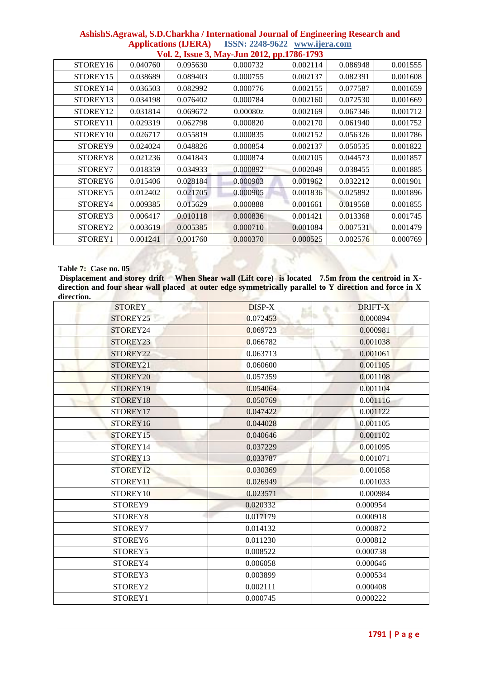|                     | Vol. 2, Issue 3, May-Jun 2012, pp.1786-1793 |          |          |          |          |          |  |  |
|---------------------|---------------------------------------------|----------|----------|----------|----------|----------|--|--|
| STOREY16            | 0.040760                                    | 0.095630 | 0.000732 | 0.002114 | 0.086948 | 0.001555 |  |  |
| STOREY15            | 0.038689                                    | 0.089403 | 0.000755 | 0.002137 | 0.082391 | 0.001608 |  |  |
| STOREY14            | 0.036503                                    | 0.082992 | 0.000776 | 0.002155 | 0.077587 | 0.001659 |  |  |
| STOREY13            | 0.034198                                    | 0.076402 | 0.000784 | 0.002160 | 0.072530 | 0.001669 |  |  |
| STOREY12            | 0.031814                                    | 0.069672 | 0.00080z | 0.002169 | 0.067346 | 0.001712 |  |  |
| STOREY11            | 0.029319                                    | 0.062798 | 0.000820 | 0.002170 | 0.061940 | 0.001752 |  |  |
| STOREY10            | 0.026717                                    | 0.055819 | 0.000835 | 0.002152 | 0.056326 | 0.001786 |  |  |
| STOREY9             | 0.024024                                    | 0.048826 | 0.000854 | 0.002137 | 0.050535 | 0.001822 |  |  |
| STOREY8             | 0.021236                                    | 0.041843 | 0.000874 | 0.002105 | 0.044573 | 0.001857 |  |  |
| STOREY7             | 0.018359                                    | 0.034933 | 0.000892 | 0.002049 | 0.038455 | 0.001885 |  |  |
| STOREY <sub>6</sub> | 0.015406                                    | 0.028184 | 0.000903 | 0.001962 | 0.032212 | 0.001901 |  |  |
| STOREY5             | 0.012402                                    | 0.021705 | 0.000905 | 0.001836 | 0.025892 | 0.001896 |  |  |
| STOREY4             | 0.009385                                    | 0.015629 | 0.000888 | 0.001661 | 0.019568 | 0.001855 |  |  |
| STOREY3             | 0.006417                                    | 0.010118 | 0.000836 | 0.001421 | 0.013368 | 0.001745 |  |  |
| STOREY2             | 0.003619                                    | 0.005385 | 0.000710 | 0.001084 | 0.007531 | 0.001479 |  |  |
| STOREY1             | 0.001241                                    | 0.001760 | 0.000370 | 0.000525 | 0.002576 | 0.000769 |  |  |

# **AshishS.Agrawal, S.D.Charkha / International Journal of Engineering Research and Applications (IJERA) ISSN: 2248-9622 www.ijera.com**

# **Table 7: Case no. 05**

Displacement and storey drift When Shear wall (Lift core) is located 7.5m from the centroid in X**direction and four shear wall placed at outer edge symmetrically parallel to Y direction and force in X direction.**

| <b>STOREY</b>        | DISP-X   | <b>DRIFT-X</b> |
|----------------------|----------|----------------|
| STOREY <sub>25</sub> | 0.072453 | 0.000894       |
| STOREY24             | 0.069723 | 0.000981       |
| STOREY23             | 0.066782 | 0.001038       |
| STOREY22             | 0.063713 | 0.001061       |
| STOREY21             | 0.060600 | 0.001105       |
| STOREY20             | 0.057359 | 0.001108       |
| STOREY19             | 0.054064 | 0.001104       |
| STOREY18             | 0.050769 | 0.001116       |
| STOREY17             | 0.047422 | 0.001122       |
| STOREY16             | 0.044028 | 0.001105       |
| STOREY15             | 0.040646 | 0.001102       |
| STOREY14             | 0.037229 | 0.001095       |
| STOREY13             | 0.033787 | 0.001071       |
| STOREY12             | 0.030369 | 0.001058       |
| STOREY11             | 0.026949 | 0.001033       |
| STOREY10             | 0.023571 | 0.000984       |
| STOREY9              | 0.020332 | 0.000954       |
| STOREY8              | 0.017179 | 0.000918       |
| STOREY7              | 0.014132 | 0.000872       |
| STOREY6              | 0.011230 | 0.000812       |
| STOREY5              | 0.008522 | 0.000738       |
| STOREY4              | 0.006058 | 0.000646       |
| STOREY3              | 0.003899 | 0.000534       |
| STOREY2              | 0.002111 | 0.000408       |
| STOREY1              | 0.000745 | 0.000222       |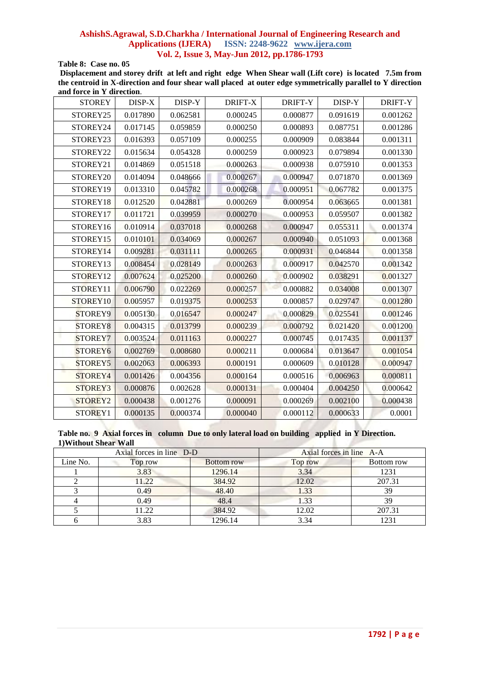# **AshishS.Agrawal, S.D.Charkha / International Journal of Engineering Research and Applications (IJERA) ISSN: 2248-9622 www.ijera.com Vol. 2, Issue 3, May-Jun 2012, pp.1786-1793**

**Table 8: Case no. 05**

**Displacement and storey drift at left and right edge When Shear wall (Lift core) is located 7.5m from the centroid in X-direction and four shear wall placed at outer edge symmetrically parallel to Y direction and force in Y direction**.

| <b>STOREY</b>       | DISP-X   | DISP-Y   | DRIFT-X  | DRIFT-Y  | DISP-Y   | <b>DRIFT-Y</b> |
|---------------------|----------|----------|----------|----------|----------|----------------|
| STOREY25            | 0.017890 | 0.062581 | 0.000245 | 0.000877 | 0.091619 | 0.001262       |
| STOREY24            | 0.017145 | 0.059859 | 0.000250 | 0.000893 | 0.087751 | 0.001286       |
| STOREY23            | 0.016393 | 0.057109 | 0.000255 | 0.000909 | 0.083844 | 0.001311       |
| STOREY22            | 0.015634 | 0.054328 | 0.000259 | 0.000923 | 0.079894 | 0.001330       |
| STOREY21            | 0.014869 | 0.051518 | 0.000263 | 0.000938 | 0.075910 | 0.001353       |
| STOREY20            | 0.014094 | 0.048666 | 0.000267 | 0.000947 | 0.071870 | 0.001369       |
| STOREY19            | 0.013310 | 0.045782 | 0.000268 | 0.000951 | 0.067782 | 0.001375       |
| STOREY18            | 0.012520 | 0.042881 | 0.000269 | 0.000954 | 0.063665 | 0.001381       |
| STOREY17            | 0.011721 | 0.039959 | 0.000270 | 0.000953 | 0.059507 | 0.001382       |
| STOREY16            | 0.010914 | 0.037018 | 0.000268 | 0.000947 | 0.055311 | 0.001374       |
| STOREY15            | 0.010101 | 0.034069 | 0.000267 | 0.000940 | 0.051093 | 0.001368       |
| STOREY14            | 0.009281 | 0.031111 | 0.000265 | 0.000931 | 0.046844 | 0.001358       |
| STOREY13            | 0.008454 | 0.028149 | 0.000263 | 0.000917 | 0.042570 | 0.001342       |
| STOREY12            | 0.007624 | 0.025200 | 0.000260 | 0.000902 | 0.038291 | 0.001327       |
| STOREY11            | 0.006790 | 0.022269 | 0.000257 | 0.000882 | 0.034008 | 0.001307       |
| STOREY10            | 0.005957 | 0.019375 | 0.000253 | 0.000857 | 0.029747 | 0.001280       |
| STOREY9             | 0.005130 | 0.016547 | 0.000247 | 0.000829 | 0.025541 | 0.001246       |
| STOREY8             | 0.004315 | 0.013799 | 0.000239 | 0.000792 | 0.021420 | 0.001200       |
| STOREY7             | 0.003524 | 0.011163 | 0.000227 | 0.000745 | 0.017435 | 0.001137       |
| STOREY <sub>6</sub> | 0.002769 | 0.008680 | 0.000211 | 0.000684 | 0.013647 | 0.001054       |
| STOREY5             | 0.002063 | 0.006393 | 0.000191 | 0.000609 | 0.010128 | 0.000947       |
| STOREY4             | 0.001426 | 0.004356 | 0.000164 | 0.000516 | 0.006963 | 0.000811       |
| STOREY3             | 0.000876 | 0.002628 | 0.000131 | 0.000404 | 0.004250 | 0.000642       |
| STOREY2             | 0.000438 | 0.001276 | 0.000091 | 0.000269 | 0.002100 | 0.000438       |
| STOREY1             | 0.000135 | 0.000374 | 0.000040 | 0.000112 | 0.000633 | 0.0001         |

**Table no. 9 Axial forces in column Due to only lateral load on building applied in Y Direction. 1)Without Shear Wall** 

| Axial forces in line D-D |         |                   | Axial forces in line A-A |            |
|--------------------------|---------|-------------------|--------------------------|------------|
| Line No.                 | Top row | <b>Bottom</b> row | Top row                  | Bottom row |
|                          | 3.83    | 1296.14           | 3.34                     | 1231       |
|                          | 11.22   | 384.92            | 12.02                    | 207.31     |
|                          | 0.49    | 48.40             | 1.33                     | 39         |
|                          | 0.49    | 48.4              | 1.33                     | 39         |
|                          | 11.22   | 384.92            | 12.02                    | 207.31     |
|                          | 3.83    | 1296.14           | 3.34                     | 1231       |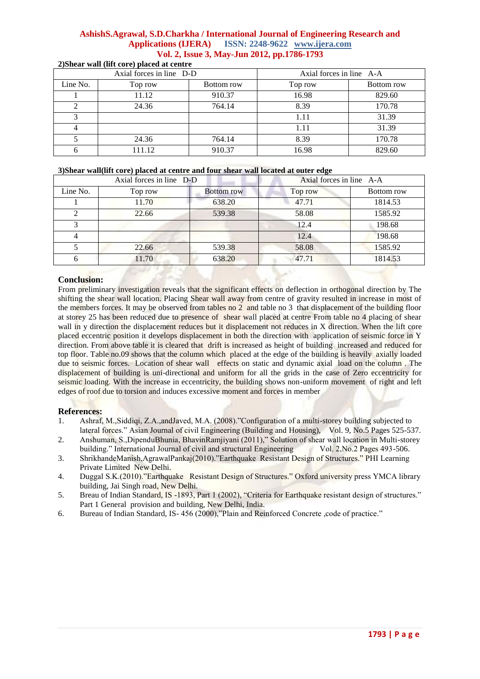# **AshishS.Agrawal, S.D.Charkha / International Journal of Engineering Research and Applications (IJERA) ISSN: 2248-9622 www.ijera.com Vol. 2, Issue 3, May-Jun 2012, pp.1786-1793 2)Shear wall (lift core) placed at centre**

| Axial forces in line D-D |         |            | Axial forces in line A-A |            |
|--------------------------|---------|------------|--------------------------|------------|
| Line No.                 | Top row | Bottom row | Top row                  | Bottom row |
|                          | 11.12   | 910.37     | 16.98                    | 829.60     |
|                          | 24.36   | 764.14     | 8.39                     | 170.78     |
|                          |         |            | 1.11                     | 31.39      |
| 4                        |         |            | 1.11                     | 31.39      |
|                          | 24.36   | 764.14     | 8.39                     | 170.78     |
| 6                        | 111.12  | 910.37     | 16.98                    | 829.60     |

## **3)Shear wall(lift core) placed at centre and four shear wall located at outer edge**

| Axial forces in line D-D |         |                   | Axial forces in line A-A |            |
|--------------------------|---------|-------------------|--------------------------|------------|
| Line No.                 | Top row | <b>Bottom row</b> | Top row                  | Bottom row |
|                          | 11.70   | 638.20            | 47.71                    | 1814.53    |
|                          | 22.66   | 539.38            | 58.08                    | 1585.92    |
| 3                        |         |                   | 12.4                     | 198.68     |
| 4                        |         |                   | 12.4                     | 198.68     |
|                          | 22.66   | 539.38            | 58.08                    | 1585.92    |
| 6                        | 11.70   | 638.20            | 47.71                    | 1814.53    |

# **Conclusion:**

From preliminary investigation reveals that the significant effects on deflection in orthogonal direction by The shifting the shear wall location. Placing Shear wall away from centre of gravity resulted in increase in most of the members forces. It may be observed from tables no 2 and table no 3 that displacement of the building floor at storey 25 has been reduced due to presence of shear wall placed at centre From table no 4 placing of shear wall in y direction the displacement reduces but it displacement not reduces in X direction. When the lift core placed eccentric position it develops displacement in both the direction with application of seismic force in Y direction. From above table it is cleared that drift is increased as height of building increased and reduced for top floor. Table no.09 shows that the column which placed at the edge of the building is heavily axially loaded due to seismic forces. Location of shear wall effects on static and dynamic axial load on the column . The displacement of building is uni-directional and uniform for all the grids in the case of Zero eccentricity for seismic loading. With the increase in eccentricity, the building shows non-uniform movement of right and left edges of roof due to torsion and induces excessive moment and forces in member

# **References:**

- 1. Ashraf, M.,Siddiqi, Z.A.,andJaved, M.A. (2008)."Configuration of a multi-storey building subjected to lateral forces." Asian Journal of civil Engineering (Building and Housing), Vol. 9, No.5 Pages 525-537.
- 2. Anshuman, S.,DipenduBhunia, BhavinRamjiyani (2011)," Solution of shear wall location in Multi-storey building." International Journal of civil and structural Engineering Vol. 2,No.2 Pages 493-506.
- 3. ShrikhandeManish,AgrawalPankaj(2010)."Earthquake Resistant Design of Structures." PHI Learning Private Limited New Delhi.
- 4. Duggal S.K.(2010)."Earthquake Resistant Design of Structures." Oxford university press YMCA library building, Jai Singh road, New Delhi.
- 5. Breau of Indian Standard, IS -1893, Part 1 (2002), "Criteria for Earthquake resistant design of structures." Part 1 General provision and building, New Delhi, India.
- 6. Bureau of Indian Standard, IS- 456 (2000),"Plain and Reinforced Concrete ,code of practice."